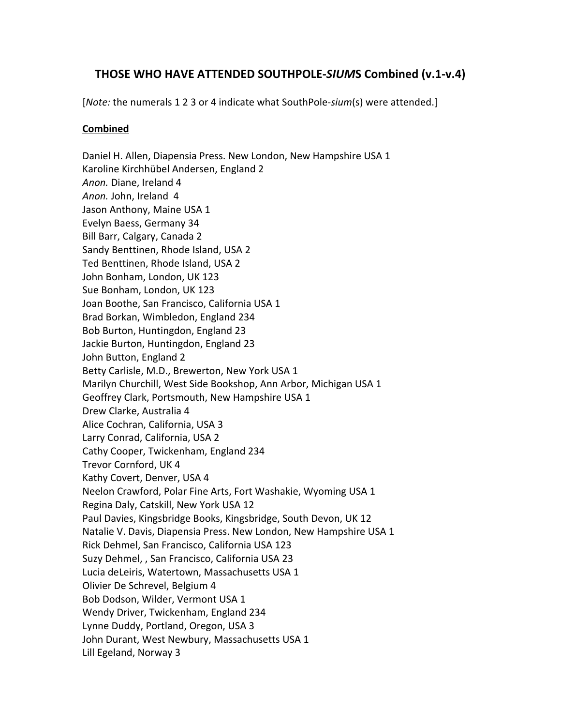## **THOSE WHO HAVE ATTENDED SOUTHPOLE-SIUMS Combined (v.1-v.4)**

[*Note:* the numerals 1 2 3 or 4 indicate what SouthPole-sium(s) were attended.]

## **Combined**

Daniel H. Allen, Diapensia Press. New London, New Hampshire USA 1 Karoline Kirchhübel Andersen, England 2 Anon. Diane, Ireland 4 Anon. John, Ireland 4 Jason Anthony, Maine USA 1 Evelyn Baess, Germany 34 Bill Barr, Calgary, Canada 2 Sandy Benttinen, Rhode Island, USA 2 Ted Benttinen, Rhode Island, USA 2 John Bonham, London, UK 123 Sue Bonham, London, UK 123 Joan Boothe, San Francisco, California USA 1 Brad Borkan, Wimbledon, England 234 Bob Burton, Huntingdon, England 23 Jackie Burton, Huntingdon, England 23 John Button, England 2 Betty Carlisle, M.D., Brewerton, New York USA 1 Marilyn Churchill, West Side Bookshop, Ann Arbor, Michigan USA 1 Geoffrey Clark, Portsmouth, New Hampshire USA 1 Drew Clarke, Australia 4 Alice Cochran, California, USA 3 Larry Conrad, California, USA 2 Cathy Cooper, Twickenham, England 234 Trevor Cornford, UK 4 Kathy Covert, Denver, USA 4 Neelon Crawford, Polar Fine Arts, Fort Washakie, Wyoming USA 1 Regina Daly, Catskill, New York USA 12 Paul Davies, Kingsbridge Books, Kingsbridge, South Devon, UK 12 Natalie V. Davis, Diapensia Press. New London, New Hampshire USA 1 Rick Dehmel, San Francisco, California USA 123 Suzy Dehmel, , San Francisco, California USA 23 Lucia deLeiris, Watertown, Massachusetts USA 1 Olivier De Schrevel, Belgium 4 Bob Dodson, Wilder, Vermont USA 1 Wendy Driver, Twickenham, England 234 Lynne Duddy, Portland, Oregon, USA 3 John Durant, West Newbury, Massachusetts USA 1 Lill Egeland, Norway 3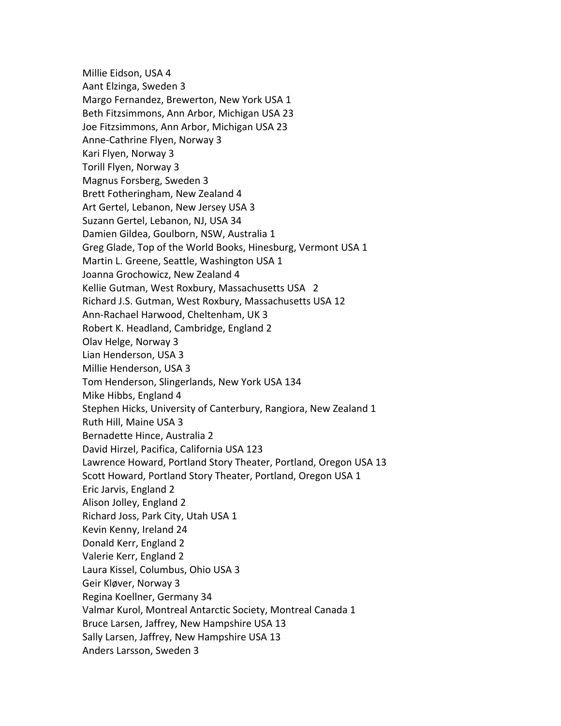Millie Eidson, USA 4 Aant Elzinga, Sweden 3 Margo Fernandez, Brewerton, New York USA 1 Beth Fitzsimmons, Ann Arbor, Michigan USA 23 Joe Fitzsimmons, Ann Arbor, Michigan USA 23 Anne-Cathrine Flyen, Norway 3 Kari Flyen, Norway 3 Torill Flyen, Norway 3 Magnus Forsberg, Sweden 3 Brett Fotheringham, New Zealand 4 Art Gertel, Lebanon, New Jersey USA 3 Suzann Gertel, Lebanon, NJ, USA 34 Damien Gildea, Goulborn, NSW, Australia 1 Greg Glade, Top of the World Books, Hinesburg, Vermont USA 1 Martin L. Greene, Seattle, Washington USA 1 Joanna Grochowicz, New Zealand 4 Kellie Gutman, West Roxbury, Massachusetts USA 2 Richard J.S. Gutman, West Roxbury, Massachusetts USA 12 Ann-Rachael Harwood, Cheltenham, UK 3 Robert K. Headland, Cambridge, England 2 Olav Helge, Norway 3 Lian Henderson, USA 3 Millie Henderson, USA 3 Tom Henderson, Slingerlands, New York USA 134 Mike Hibbs, England 4 Stephen Hicks, University of Canterbury, Rangiora, New Zealand 1 Ruth Hill, Maine USA 3 Bernadette Hince, Australia 2 David Hirzel, Pacifica, California USA 123 Lawrence Howard, Portland Story Theater, Portland, Oregon USA 13 Scott Howard, Portland Story Theater, Portland, Oregon USA 1 Eric Jarvis, England 2 Alison Jolley, England 2 Richard Joss, Park City, Utah USA 1 Kevin Kenny, Ireland 24 Donald Kerr, England 2 Valerie Kerr, England 2 Laura Kissel, Columbus, Ohio USA 3 Geir Kløver, Norway 3 Regina Koellner, Germany 34 Valmar Kurol, Montreal Antarctic Society, Montreal Canada 1 Bruce Larsen, Jaffrey, New Hampshire USA 13 Sally Larsen, Jaffrey, New Hampshire USA 13 Anders Larsson, Sweden 3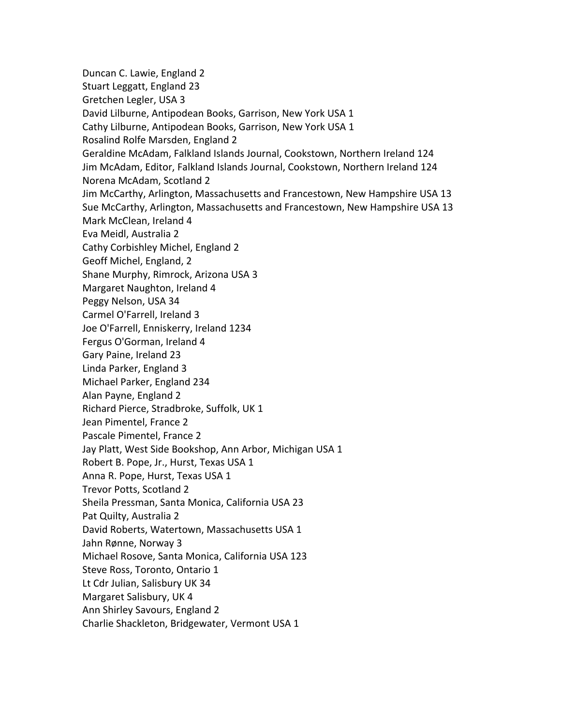Duncan C. Lawie, England 2 Stuart Leggatt, England 23 Gretchen Legler, USA 3 David Lilburne, Antipodean Books, Garrison, New York USA 1 Cathy Lilburne, Antipodean Books, Garrison, New York USA 1 Rosalind Rolfe Marsden, England 2 Geraldine McAdam, Falkland Islands Journal, Cookstown, Northern Ireland 124 Jim McAdam, Editor, Falkland Islands Journal, Cookstown, Northern Ireland 124 Norena McAdam, Scotland 2 Jim McCarthy, Arlington, Massachusetts and Francestown, New Hampshire USA 13 Sue McCarthy, Arlington, Massachusetts and Francestown, New Hampshire USA 13 Mark McClean, Ireland 4 Eva Meidl, Australia 2 Cathy Corbishley Michel, England 2 Geoff Michel, England, 2 Shane Murphy, Rimrock, Arizona USA 3 Margaret Naughton, Ireland 4 Peggy Nelson, USA 34 Carmel O'Farrell, Ireland 3 Joe O'Farrell, Enniskerry, Ireland 1234 Fergus O'Gorman, Ireland 4 Gary Paine, Ireland 23 Linda Parker, England 3 Michael Parker, England 234 Alan Payne, England 2 Richard Pierce, Stradbroke, Suffolk, UK 1 Jean Pimentel, France 2 Pascale Pimentel, France 2 Jay Platt, West Side Bookshop, Ann Arbor, Michigan USA 1 Robert B. Pope, Jr., Hurst, Texas USA 1 Anna R. Pope, Hurst, Texas USA 1 Trevor Potts, Scotland 2 Sheila Pressman, Santa Monica, California USA 23 Pat Quilty, Australia 2 David Roberts, Watertown, Massachusetts USA 1 Jahn Rønne, Norway 3 Michael Rosove, Santa Monica, California USA 123 Steve Ross, Toronto, Ontario 1 Lt Cdr Julian, Salisbury UK 34 Margaret Salisbury, UK 4 Ann Shirley Savours, England 2 Charlie Shackleton, Bridgewater, Vermont USA 1